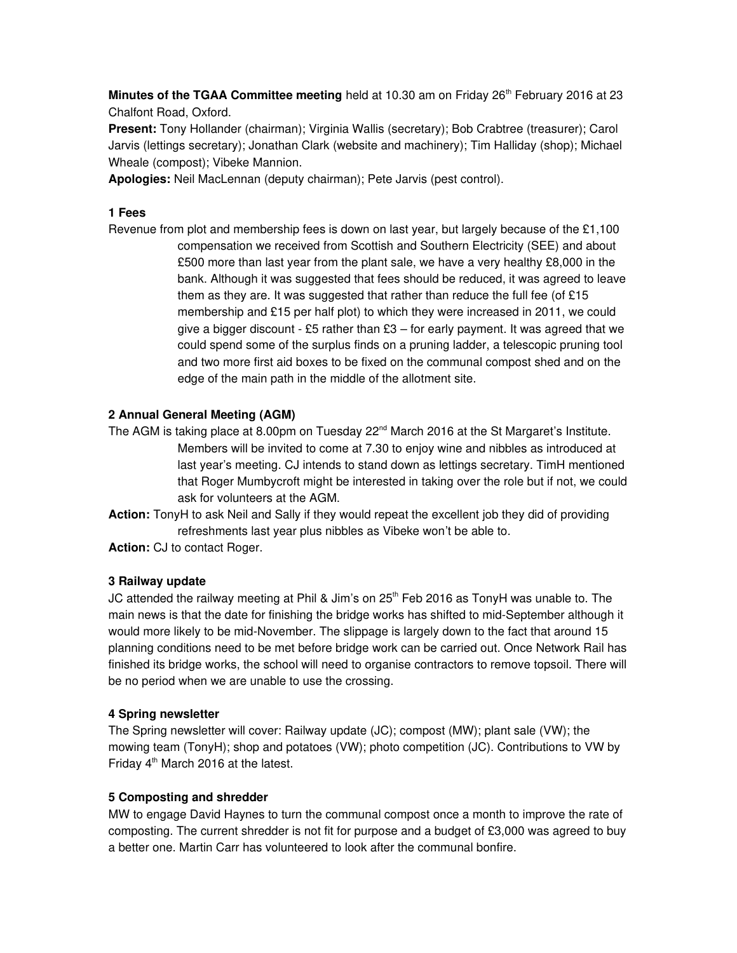Minutes of the TGAA Committee meeting held at 10.30 am on Friday 26<sup>th</sup> February 2016 at 23 Chalfont Road, Oxford.

Present: Tony Hollander (chairman); Virginia Wallis (secretary); Bob Crabtree (treasurer); Carol Jarvis (lettings secretary); Jonathan Clark (website and machinery); Tim Halliday (shop); Michael Wheale (compost); Vibeke Mannion.

Apologies: Neil MacLennan (deputy chairman); Pete Jarvis (pest control).

## 1 Fees

Revenue from plot and membership fees is down on last year, but largely because of the £1,100 compensation we received from Scottish and Southern Electricity (SEE) and about £500 more than last year from the plant sale, we have a very healthy £8,000 in the bank. Although it was suggested that fees should be reduced, it was agreed to leave them as they are. It was suggested that rather than reduce the full fee (of £15 membership and £15 per half plot) to which they were increased in 2011, we could give a bigger discount - £5 rather than  $£3 -$  for early payment. It was agreed that we could spend some of the surplus finds on a pruning ladder, a telescopic pruning tool and two more first aid boxes to be fixed on the communal compost shed and on the edge of the main path in the middle of the allotment site.

## 2 Annual General Meeting (AGM)

- The AGM is taking place at 8.00pm on Tuesday 22<sup>nd</sup> March 2016 at the St Margaret's Institute. Members will be invited to come at 7.30 to enjoy wine and nibbles as introduced at last year's meeting. CJ intends to stand down as lettings secretary. TimH mentioned that Roger Mumbycroft might be interested in taking over the role but if not, we could ask for volunteers at the AGM.
- Action: TonyH to ask Neil and Sally if they would repeat the excellent job they did of providing refreshments last year plus nibbles as Vibeke won't be able to.
- Action: CJ to contact Roger.

### 3 Railway update

JC attended the railway meeting at Phil & Jim's on  $25<sup>th</sup>$  Feb 2016 as TonyH was unable to. The main news is that the date for finishing the bridge works has shifted to mid-September although it would more likely to be mid-November. The slippage is largely down to the fact that around 15 planning conditions need to be met before bridge work can be carried out. Once Network Rail has finished its bridge works, the school will need to organise contractors to remove topsoil. There will be no period when we are unable to use the crossing.

### 4 Spring newsletter

The Spring newsletter will cover: Railway update (JC); compost (MW); plant sale (VW); the mowing team (TonyH); shop and potatoes (VW); photo competition (JC). Contributions to VW by Friday  $4<sup>th</sup>$  March 2016 at the latest.

### 5 Composting and shredder

MW to engage David Haynes to turn the communal compost once a month to improve the rate of composting. The current shredder is not fit for purpose and a budget of £3,000 was agreed to buy a better one. Martin Carr has volunteered to look after the communal bonfire.